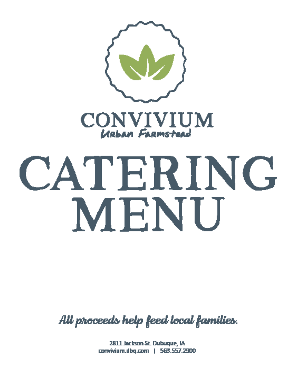



# CATERING MENU

All proceeds help feed local families.

2811 Jackson St. Dubuque, IA convivium.dbg.com | 563.557.2900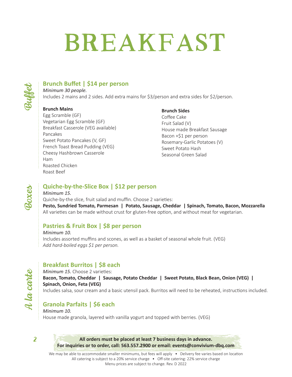### **Breakfast**



#### **Brunch Buffet | \$14 per person**

*Minimum 30 people.*  Includes 2 mains and 2 sides. Add extra mains for \$3/person and extra sides for \$2/person.

#### **Brunch Mains**

Egg Scramble (GF) Vegetarian Egg Scramble (GF) Breakfast Casserole (VEG available) Pancakes Sweet Potato Pancakes (V, GF) French Toast Bread Pudding (VEG) Cheesy Hashbrown Casserole Ham Roasted Chicken Roast Beef

#### **Brunch Sides**

Coffee Cake Fruit Salad (V) House made Breakfast Sausage Bacon +\$1 per person Rosemary-Garlic Potatoes (V) Sweet Potato Hash Seasonal Green Salad

### *Boxes*

#### **Quiche-by-the-Slice Box | \$12 per person**

#### *Minimum 15.*

Quiche-by-the slice, fruit salad and muffin. Choose 2 varieties: **Pesto, Sundried Tomato, Parmesan | Potato, Sausage, Cheddar | Spinach, Tomato, Bacon, Mozzarella**  All varieties can be made without crust for gluten-free option, and without meat for vegetarian.

#### **Pastries & Fruit Box | \$8 per person**

*Minimum 10.*  Includes assorted muffins and scones, as well as a basket of seasonal whole fruit. (VEG) *Add hard-boiled eggs \$1 per person.*

#### **Breakfast Burritos | \$8 each**

*Minimum 15.* Choose 2 varieties: **Bacon, Tomato, Cheddar | Sausage, Potato Cheddar | Sweet Potato, Black Bean, Onion (VEG) | Spinach, Onion, Feta (VEG)** Includes salsa, sour cream and a basic utensil pack. Burritos will need to be reheated, instructions included.

#### **Granola Parfaits | \$6 each**

*Minimum 10.*  House made granola, layered with vanilla yogurt and topped with berries. (VEG)

2

*A la carte*

A la carte

**All orders must be placed at least 7 business days in advance. For inquiries or to order, call: 563.557.2900 or email: events@convivium-dbq.com**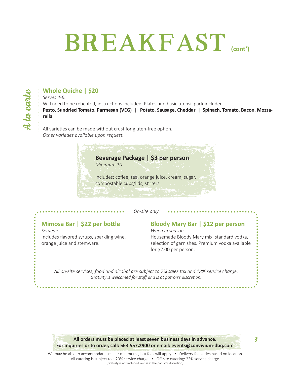### **Breakfast (cont')**

#### **Whole Quiche | \$20**

*Serves 4-6.* 

Will need to be reheated, instructions included. Plates and basic utensil pack included. **Pesto, Sundried Tomato, Parmesan (VEG) | Potato, Sausage, Cheddar | Spinach, Tomato, Bacon, Mozzarella** 

All varieties can be made without crust for gluten-free option. *Other varieties available upon request.*

#### **Beverage Package | \$3 per person**

*Minimum 10.* 

Includes: coffee, tea, orange juice, cream, sugar, compostable cups/lids, stirrers.

*On-site only*

#### **Mimosa Bar | \$22 per bottle**

*Serves 5.* Includes flavored syrups, sparkling wine, orange juice and stemware.

#### **Bloody Mary Bar | \$12 per person**

*When in season.* Housemade Bloody Mary mix, standard vodka, selection of garnishes. Premium vodka available for \$2.00 per person.

*All on-site services, food and alcohol are subject to 7% sales tax and 18% service charge. Gratuity is welcomed for staff and is at patron's discretion.*

**All orders must be placed at least seven business days in advance. For inquiries or to order, call: 563.557.2900 or email: events@convivium-dbq.com**

3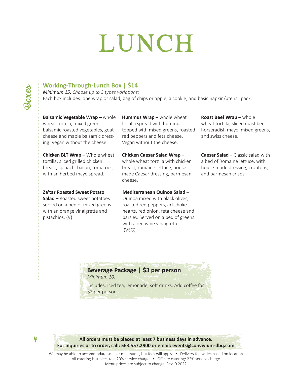## **lunch**

4

#### **Working-Through-Lunch Box | \$14**

*Minimum 15. Choose up to 3 types variations:* Each box includes: one wrap or salad, bag of chips or apple, a cookie, and basic napkin/utensil pack.

#### **Balsamic Vegetable Wrap –** whole wheat tortilla, mixed greens, balsamic roasted vegetables, goat cheese and maple balsamic dressing. Vegan without the cheese.

**Chicken BLT Wrap –** Whole wheat tortilla, sliced grilled chicken breast, spinach, bacon, tomatoes, with an herbed mayo spread.

#### **Za'tar Roasted Sweet Potato**

**Salad –** Roasted sweet potatoes served on a bed of mixed greens with an orange vinaigrette and pistachios. (V)

**Hummus Wrap –** whole wheat tortilla spread with hummus, topped with mixed greens, roasted red peppers and feta cheese. Vegan without the cheese.

**Chicken Caesar Salad Wrap –**  whole wheat tortilla with chicken breast, romaine lettuce, housemade Caesar dressing, parmesan cheese.

**Mediterranean Quinoa Salad –**  Quinoa mixed with black olives, roasted red peppers, artichoke hearts, red onion, feta cheese and parsley. Served on a bed of greens with a red wine vinaigrette.

**Roast Beef Wrap –** whole wheat tortilla, sliced roast beef, horseradish mayo, mixed greens, and swiss cheese.

**Caesar Salad –** Classic salad with a bed of Romaine lettuce, with house-made dressing, croutons, and parmesan crisps.

#### **Beverage Package | \$3 per person**

(VEG)

*Minimum 10.* 

Includes: iced tea, lemonade, soft drinks. Add coffee for \$2 per person.

**All orders must be placed at least 7 business days in advance. For inquiries or to order, call: 563.557.2900 or email: events@convivium-dbq.com**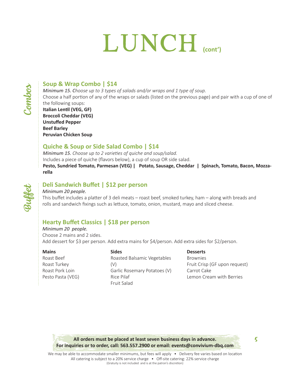### LUNCH

*Buffet*

#### **Soup & Wrap Combo | \$14**

*Minimum 15. Choose up to 3 types of salads and/or wraps and 1 type of soup.*

Choose a half portion of any of the wraps or salads (listed on the previous page) and pair with a cup of one of the following soups:

#### **Italian Lentil (VEG, GF) Broccoli Cheddar (VEG) Unstuffed Pepper Beef Barley Peruvian Chicken Soup**

#### **Quiche & Soup or Side Salad Combo | \$14**

*Minimum 15. Choose up to 2 varieties of quiche and soup/salad.* Includes a piece of quiche (flavors below), a cup of soup OR side salad. **Pesto, Sundried Tomato, Parmesan (VEG) | Potato, Sausage, Cheddar | Spinach, Tomato, Bacon, Mozzarella** 

#### **Deli Sandwich Buffet | \$12 per person**

#### *Minimum 20 people.*

This buffet includes a platter of 3 deli meats – roast beef, smoked turkey, ham – along with breads and rolls and sandwich fixings such as lettuce, tomato, onion, mustard, mayo and sliced cheese.

#### **Hearty Buffet Classics | \$18 per person**

*Minimum 20 people.*  Choose 2 mains and 2 sides. Add dessert for \$3 per person. Add extra mains for \$4/person. Add extra sides for \$2/person.

#### **Mains** Roast Beef Roast Turkey Roast Pork Loin

Pesto Pasta (VEG)

**Sides** Roasted Balsamic Vegetables (V) Garlic Rosemary Potatoes (V) Rice Pilaf Fruit Salad

#### **Desserts**

Brownies Fruit Crisp (GF upon request) Carrot Cake Lemon Cream with Berries

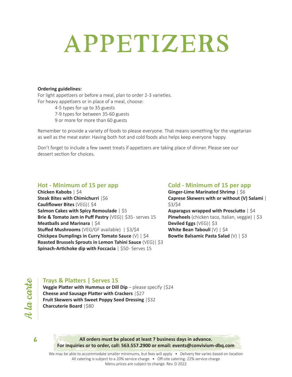### **appetizers**

#### **Ordering guidelines:**

For light appetizers or before a meal, plan to order 2-3 varieties. For heavy appetizers or in place of a meal, choose:

> 4-5 types for up to 35 guests 7-9 types for between 35-60 guests 9 or more for more than 60 guests

Remember to provide a variety of foods to please everyone. That means something for the vegetarian as well as the meat eater. Having both hot and cold foods also helps keep everyone happy.

Don't forget to include a few sweet treats if appetizers are taking place of dinner. Please see our dessert section for choices.

#### **Hot - Minimum of 15 per app**

**Chicken Kabobs** | \$4 **Steak Bites with Chimichurri**  $|$6$ **Cauliflower Bites** (VEG)| \$4 **Salmon Cakes with Spicy Remoulade** | \$5 **Brie & Tomato Jam in Puff Pastry** (VEG) | \$35- serves 15 **Meatballs and Marinara** | \$4 **Stuffed Mushrooms** (VEG/GF available) | \$3/\$4 **Chickpea Dumplings in Curry Tomato Sauce** (V) | \$4 **Roasted Brussels Sprouts in Lemon Tahini Sauce** (VEG)| \$3 **Spinach-Artichoke dip with Foccacia** | \$50- Serves 15

#### **Cold - Minimum of 15 per app**

**Ginger-Lime Marinated Shrimp** | \$6 **Caprese Skewers with or without (V) Salami** | \$3/\$4

**Asparagus wrapped with Prosciutto** | \$4 **Pinwheels** (chicken taco, Italian, veggie) | \$3 **Deviled Eggs** (VEG)| \$3 **White Bean Tabouli** (V) | \$4 **Bowtie Balsamic Pasta Salad** (V) | \$3

*A la carte*  $\bm{\mathcal{A}}$  la carte

#### **Trays & Platters | Serves 15**

**Veggie Platter with Hummus or Dill Dip** – please specify |\$24 **Cheese and Sausage Platter with Crackers** |\$27 **Fruit Skewers with Sweet Poppy Seed Dressing** |\$32 **Charcuterie Board** | \$80



**All orders must be placed at least 7 business days in advance. For inquiries or to order, call: 563.557.2900 or email: events@convivium-dbq.com**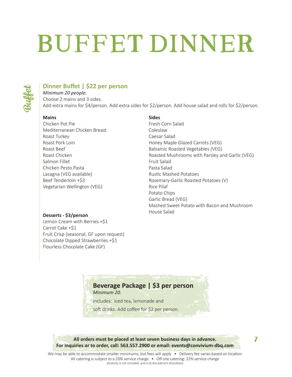# **BUFFET DINNER**



#### **Dinner Buffet | \$22 per person**

*Minimum 20 people.*  Choose 2 mains and 3 sides. Add extra mains for \$4/person. Add extra sides for \$2/person. Add house salad and rolls for \$2/person.

#### **Mains**

Chicken Pot Pie Mediterranean Chicken Breast Roast Turkey Roast Pork Loin Roast Beef Roast Chicken Salmon Fillet Chicken Pesto Pasta Lasagna (VEG available) Beef Tenderloin +\$3 Vegetarian Wellington (VEG)

#### **Sides**

Fresh Corn Salad Coleslaw Caesar Salad Honey Maple Glazed Carrots (VEG) Balsamic Roasted Vegetables (VEG) Roasted Mushrooms with Parsley and Garlic (VEG) Fruit Salad Pasta Salad Rustic Mashed Potatoes Rosemary-Garlic Roasted Potatoes (V) Rice Pilaf Potato Chips Garlic Bread (VEG) Mashed Sweet Potato with Bacon and Mushroom House Salad

#### **Desserts - \$3/person**

Lemon Cream with Berries +\$1 Carrot Cake +\$1 Fruit Crisp (seasonal, GF upon request) Chocolate Dipped Strawberries +\$1 Flourless Chocolate Cake (GF)

#### **Beverage Package | \$3 per person**

*Minimum 20.* 

Includes: iced tea, lemonade and

soft drinks. Add coffee for \$2 per person.

**All orders must be placed at least seven business days in advance. For inquiries or to order, call: 563.557.2900 or email: events@convivium-dbq.com**

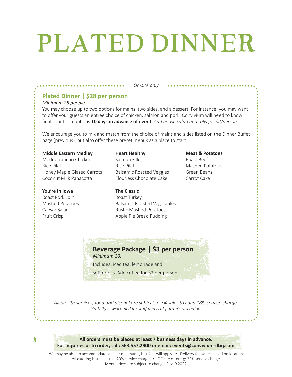## **plated dinner**

#### *On-site only*

#### **Plated Dinner | \$28 per person**

#### *Minimum 25 people.*

You may choose up to two options for mains, two sides, and a dessert. For instance, you may want to offer your guests an entrée choice of chicken, salmon and pork. Convivium will need to know final counts on options **10 days in advance of event**. *Add house salad and rolls for \$2/person.* 

We encourage you to mix and match from the choice of mains and sides listed on the Dinner Buffet page (previous), but also offer these preset menus as a place to start.

#### **Middle Eastern Medley**

Mediterranean Chicken Rice Pilaf Honey Maple Glazed Carrots Coconut Milk Panacotta

#### **You're In Iowa**

Roast Pork Loin Mashed Potatoes Caesar Salad Fruit Crisp

**Heart Healthy**  Salmon Fillet Rice Pilaf Balsamic Roasted Veggies Flourless Chocolate Cake

#### Roast Beef

**Meat & Potatoes** 

Mashed Potatoes Green Beans Carrot Cake

Rustic Mashed Potatoes Apple Pie Bread Pudding

Balsamic Roasted Vegetables

#### **Beverage Package | \$3 per person**

*Minimum 20.* 

Includes: iced tea, lemonade and

**The Classic**  Roast Turkey

soft drinks. Add coffee for \$2 per person.

*All on-site services, food and alcohol are subject to 7% sales tax and 18% service charge. Gratuity is welcomed for staff and is at patron's discretion.*

8

**All orders must be placed at least 7 business days in advance. For inquiries or to order, call: 563.557.2900 or email: events@convivium-dbq.com**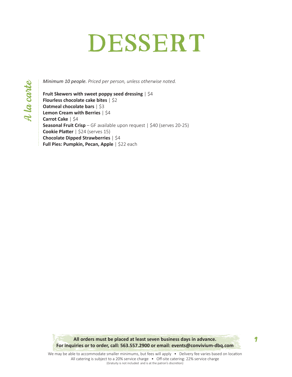### DESSERT

*Minimum 10 people. Priced per person, unless otherwise noted.*

**Fruit Skewers with sweet poppy seed dressing** | \$4 **Flourless chocolate cake bites** | \$2 **Oatmeal chocolate bars** | \$3 **Lemon Cream with Berries** | \$4 **Carrot Cake** | \$4 **Seasonal Fruit Crisp** – GF available upon request | \$40 (serves 20-25) **Cookie Platter** | \$24 (serves 15) **Chocolate Dipped Strawberries** | \$4 **Full Pies: Pumpkin, Pecan, Apple** | \$22 each

**All orders must be placed at least seven business days in advance. For inquiries or to order, call: 563.557.2900 or email: events@convivium-dbq.com**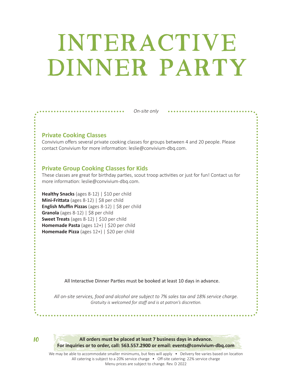### **interactive dinner party**

*On-site only*

#### **Private Cooking Classes**

Convivium offers several private cooking classes for groups between 4 and 20 people. Please contact Convivium for more information: leslie@convivium-dbq.com.

#### **Private Group Cooking Classes for Kids**

. . . . . . . . . . **.** 

These classes are great for birthday parties, scout troop activities or just for fun! Contact us for more information: leslie@convivium-dbq.com.

**Healthy Snacks** (ages 8-12) | \$10 per child **Mini-Frittata** (ages 8-12) | \$8 per child **English Muffin Pizzas** (ages 8-12) | \$8 per child **Granola** (ages 8-12) | \$8 per child **Sweet Treats** (ages 8-12) | \$10 per child **Homemade Pasta** (ages 12+) | \$20 per child **Homemade Pizza** (ages 12+) | \$20 per child

All Interactive Dinner Parties must be booked at least 10 days in advance.

*All on-site services, food and alcohol are subject to 7% sales tax and 18% service charge. Gratuity is welcomed for staff and is at patron's discretion.*

10

**All orders must be placed at least 7 business days in advance. For inquiries or to order, call: 563.557.2900 or email: events@convivium-dbq.com**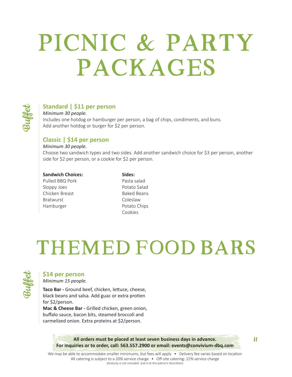### **Picnic & Party packages**



#### **Standard | \$11 per person**

*Minimum 30 people.* Includes one hotdog or hamburger per person, a bag of chips, condiments, and buns. Add another hotdog or burger for \$2 per person.

#### **Classic | \$14 per person**

*Minimum 30 people.* 

Choose two sandwich types and two sides. Add another sandwich choice for \$3 per person, another side for \$2 per person, or a cookie for \$2 per person.

#### **Sandwich Choices:**

Pulled BBQ Pork Sloppy Joes Chicken Breast Bratwurst Hamburger

**Sides:** Pasta salad Potato Salad Baked Beans Coleslaw Potato Chips Cookies

### **themed food bars**



#### **\$14 per person**

*Minimum 15 people.*

**Taco Bar -** Ground beef, chicken, lettuce, cheese, black beans and salsa. Add guac or extra protien for \$2/person.

**Mac & Cheese Bar -** Grilled chicken, green onion, buffalo sauce, bacon bits, steamed broccoli and carmelized onion. Extra proteins at \$2/person.

> **All orders must be placed at least seven business days in advance. For inquiries or to order, call: 563.557.2900 or email: events@convivium-dbq.com**